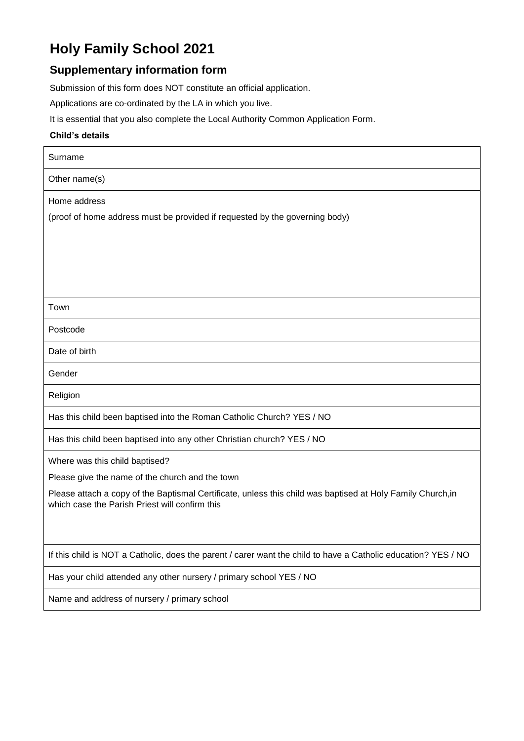# **Holy Family School 2021**

## **Supplementary information form**

Submission of this form does NOT constitute an official application.

Applications are co-ordinated by the LA in which you live.

It is essential that you also complete the Local Authority Common Application Form.

#### **Child's details**

| Surname                                                                                                                                                       |
|---------------------------------------------------------------------------------------------------------------------------------------------------------------|
| Other name(s)                                                                                                                                                 |
| Home address                                                                                                                                                  |
| (proof of home address must be provided if requested by the governing body)                                                                                   |
|                                                                                                                                                               |
|                                                                                                                                                               |
|                                                                                                                                                               |
| Town                                                                                                                                                          |
| Postcode                                                                                                                                                      |
| Date of birth                                                                                                                                                 |
| Gender                                                                                                                                                        |
| Religion                                                                                                                                                      |
| Has this child been baptised into the Roman Catholic Church? YES / NO                                                                                         |
| Has this child been baptised into any other Christian church? YES / NO                                                                                        |
| Where was this child baptised?                                                                                                                                |
| Please give the name of the church and the town                                                                                                               |
| Please attach a copy of the Baptismal Certificate, unless this child was baptised at Holy Family Church, in<br>which case the Parish Priest will confirm this |
|                                                                                                                                                               |
| If this child is NOT a Catholic, does the parent / carer want the child to have a Catholic education? YES / NO                                                |
| Has your child attended any other nursery / primary school YES / NO                                                                                           |
| Name and address of nursery / primary school                                                                                                                  |